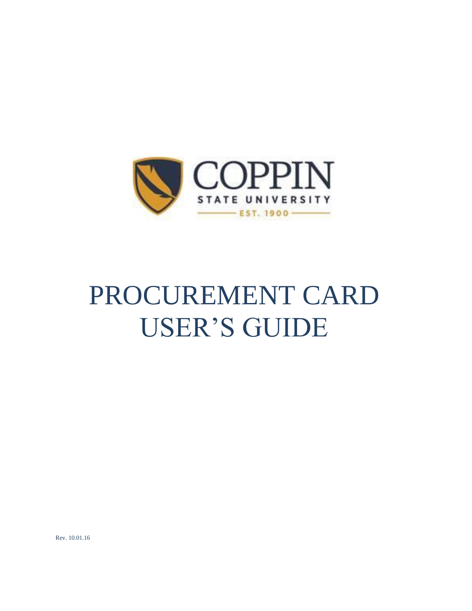

# PROCUREMENT CARD USER'S GUIDE

Rev. 10.01.16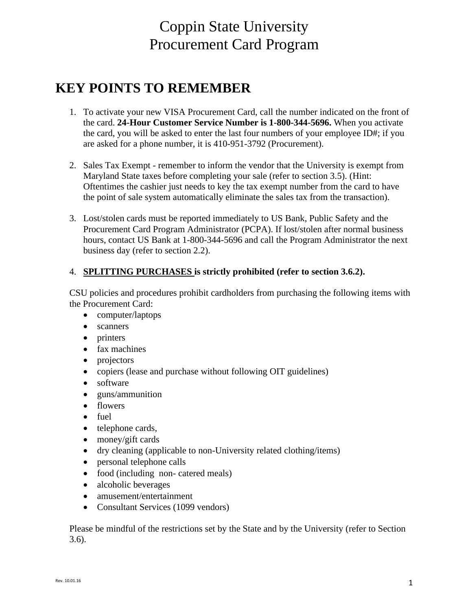# Coppin State University Procurement Card Program

# **KEY POINTS TO REMEMBER**

- 1. To activate your new VISA Procurement Card, call the number indicated on the front of the card. **24-Hour Customer Service Number is 1-800-344-5696.** When you activate the card, you will be asked to enter the last four numbers of your employee  $ID#$ ; if you are asked for a phone number, it is 410-951-3792 (Procurement).
- 2. Sales Tax Exempt remember to inform the vendor that the University is exempt from Maryland State taxes before completing your sale (refer to section 3.5). (Hint: Oftentimes the cashier just needs to key the tax exempt number from the card to have the point of sale system automatically eliminate the sales tax from the transaction).
- 3. Lost/stolen cards must be reported immediately to US Bank, Public Safety and the Procurement Card Program Administrator (PCPA). If lost/stolen after normal business hours, contact US Bank at 1-800-344-5696 and call the Program Administrator the next business day (refer to section 2.2).

# 4. **SPLITTING PURCHASES is strictly prohibited (refer to section 3.6.2).**

CSU policies and procedures prohibit cardholders from purchasing the following items with the Procurement Card:

- computer/laptops
- scanners
- printers
- fax machines
- projectors
- copiers (lease and purchase without following OIT guidelines)
- software
- guns/ammunition
- flowers
- fuel
- telephone cards,
- money/gift cards
- dry cleaning (applicable to non-University related clothing/items)
- personal telephone calls
- food (including non- catered meals)
- alcoholic beverages
- amusement/entertainment
- Consultant Services (1099 vendors)

Please be mindful of the restrictions set by the State and by the University (refer to Section 3.6).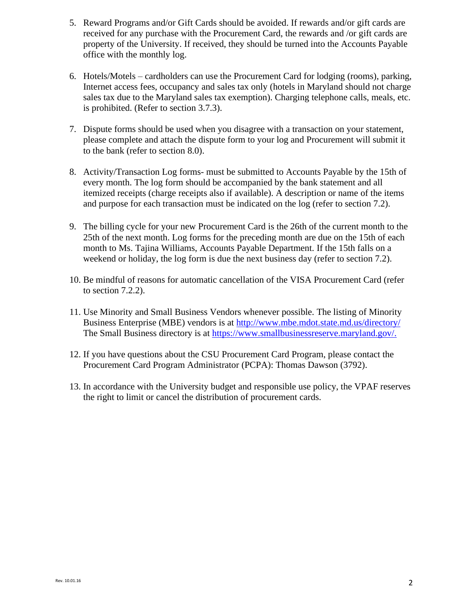- 5. Reward Programs and/or Gift Cards should be avoided. If rewards and/or gift cards are received for any purchase with the Procurement Card, the rewards and /or gift cards are property of the University. If received, they should be turned into the Accounts Payable office with the monthly log.
- 6. Hotels/Motels cardholders can use the Procurement Card for lodging (rooms), parking, Internet access fees, occupancy and sales tax only (hotels in Maryland should not charge sales tax due to the Maryland sales tax exemption). Charging telephone calls, meals, etc. is prohibited. (Refer to section 3.7.3).
- 7. Dispute forms should be used when you disagree with a transaction on your statement, please complete and attach the dispute form to your log and Procurement will submit it to the bank (refer to section 8.0).
- 8. Activity/Transaction Log forms- must be submitted to Accounts Payable by the 15th of every month. The log form should be accompanied by the bank statement and all itemized receipts (charge receipts also if available). A description or name of the items and purpose for each transaction must be indicated on the log (refer to section 7.2).
- 9. The billing cycle for your new Procurement Card is the 26th of the current month to the 25th of the next month. Log forms for the preceding month are due on the 15th of each month to Ms. Tajina Williams, Accounts Payable Department. If the 15th falls on a weekend or holiday, the log form is due the next business day (refer to section 7.2).
- 10. Be mindful of reasons for automatic cancellation of the VISA Procurement Card (refer to section 7.2.2).
- 11. Use Minority and Small Business Vendors whenever possible. The listing of Minority Business Enterprise (MBE) vendors is at<http://www.mbe.mdot.state.md.us/directory/> The Small Business directory is at [https://www.smallbusinessreserve.maryland.gov/.](https://www.smallbusinessreserve.maryland.gov/)
- 12. If you have questions about the CSU Procurement Card Program, please contact the Procurement Card Program Administrator (PCPA): Thomas Dawson (3792).
- 13. In accordance with the University budget and responsible use policy, the VPAF reserves the right to limit or cancel the distribution of procurement cards.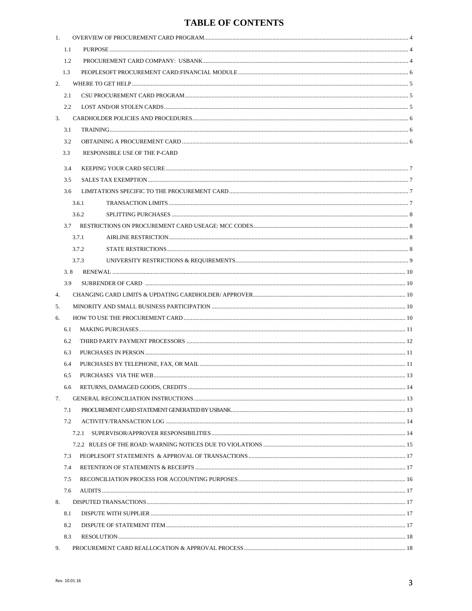# **TABLE OF CONTENTS**

| 1.  |     |                               |  |  |  |  |  |  |
|-----|-----|-------------------------------|--|--|--|--|--|--|
|     | 1.1 |                               |  |  |  |  |  |  |
|     | 1.2 |                               |  |  |  |  |  |  |
|     | 1.3 |                               |  |  |  |  |  |  |
| 2.  |     |                               |  |  |  |  |  |  |
|     | 2.1 |                               |  |  |  |  |  |  |
|     | 2.2 |                               |  |  |  |  |  |  |
| 3.  |     |                               |  |  |  |  |  |  |
|     | 3.1 |                               |  |  |  |  |  |  |
|     | 3.2 |                               |  |  |  |  |  |  |
| 3.3 |     | RESPONSIBLE USE OF THE P-CARD |  |  |  |  |  |  |
|     |     |                               |  |  |  |  |  |  |
|     | 3.4 |                               |  |  |  |  |  |  |
|     | 3.5 |                               |  |  |  |  |  |  |
|     | 3.6 |                               |  |  |  |  |  |  |
|     |     | 3.6.1                         |  |  |  |  |  |  |
|     |     | 3.6.2                         |  |  |  |  |  |  |
|     | 3.7 |                               |  |  |  |  |  |  |
|     |     | 3.7.1                         |  |  |  |  |  |  |
|     |     | 3.7.2                         |  |  |  |  |  |  |
|     |     | 3.7.3                         |  |  |  |  |  |  |
|     | 3.8 |                               |  |  |  |  |  |  |
|     | 3.9 |                               |  |  |  |  |  |  |
| 4.  |     |                               |  |  |  |  |  |  |
| 5.  |     |                               |  |  |  |  |  |  |
| 6.  |     |                               |  |  |  |  |  |  |
|     | 6.1 |                               |  |  |  |  |  |  |
|     | 6.2 |                               |  |  |  |  |  |  |
|     | 6.3 |                               |  |  |  |  |  |  |
|     | 6.4 |                               |  |  |  |  |  |  |
|     | 6.5 |                               |  |  |  |  |  |  |
|     | 6.6 |                               |  |  |  |  |  |  |
| 7.  |     |                               |  |  |  |  |  |  |
|     | 7.1 |                               |  |  |  |  |  |  |
|     | 7.2 |                               |  |  |  |  |  |  |
|     |     | 7.2.1                         |  |  |  |  |  |  |
|     |     |                               |  |  |  |  |  |  |
|     | 7.3 |                               |  |  |  |  |  |  |
|     | 7.4 |                               |  |  |  |  |  |  |
|     | 7.5 |                               |  |  |  |  |  |  |
|     | 7.6 |                               |  |  |  |  |  |  |
| 8.  |     |                               |  |  |  |  |  |  |
|     | 8.1 |                               |  |  |  |  |  |  |
|     | 8.2 |                               |  |  |  |  |  |  |
|     | 8.3 |                               |  |  |  |  |  |  |
| 9.  |     |                               |  |  |  |  |  |  |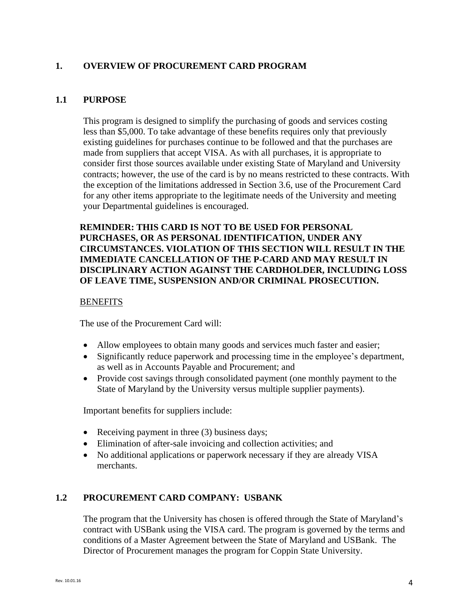#### <span id="page-4-0"></span>**1. OVERVIEW OF PROCUREMENT CARD PROGRAM**

#### <span id="page-4-1"></span>**1.1 PURPOSE**

This program is designed to simplify the purchasing of goods and services costing less than \$5,000. To take advantage of these benefits requires only that previously existing guidelines for purchases continue to be followed and that the purchases are made from suppliers that accept VISA. As with all purchases, it is appropriate to consider first those sources available under existing State of Maryland and University contracts; however, the use of the card is by no means restricted to these contracts. With the exception of the limitations addressed in Section 3.6, use of the Procurement Card for any other items appropriate to the legitimate needs of the University and meeting your Departmental guidelines is encouraged.

#### **REMINDER: THIS CARD IS NOT TO BE USED FOR PERSONAL PURCHASES, OR AS PERSONAL IDENTIFICATION, UNDER ANY CIRCUMSTANCES. VIOLATION OF THIS SECTION WILL RESULT IN THE IMMEDIATE CANCELLATION OF THE P-CARD AND MAY RESULT IN DISCIPLINARY ACTION AGAINST THE CARDHOLDER, INCLUDING LOSS OF LEAVE TIME, SUSPENSION AND/OR CRIMINAL PROSECUTION.**

#### **BENEFITS**

The use of the Procurement Card will:

- Allow employees to obtain many goods and services much faster and easier;
- Significantly reduce paperwork and processing time in the employee's department, as well as in Accounts Payable and Procurement; and
- Provide cost savings through consolidated payment (one monthly payment to the State of Maryland by the University versus multiple supplier payments).

Important benefits for suppliers include:

- Receiving payment in three (3) business days;
- Elimination of after-sale invoicing and collection activities; and
- No additional applications or paperwork necessary if they are already VISA merchants.

#### <span id="page-4-2"></span>**1.2 PROCUREMENT CARD COMPANY: USBANK**

The program that the University has chosen is offered through the State of Maryland's contract with USBank using the VISA card. The program is governed by the terms and conditions of a Master Agreement between the State of Maryland and USBank. The Director of Procurement manages the program for Coppin State University.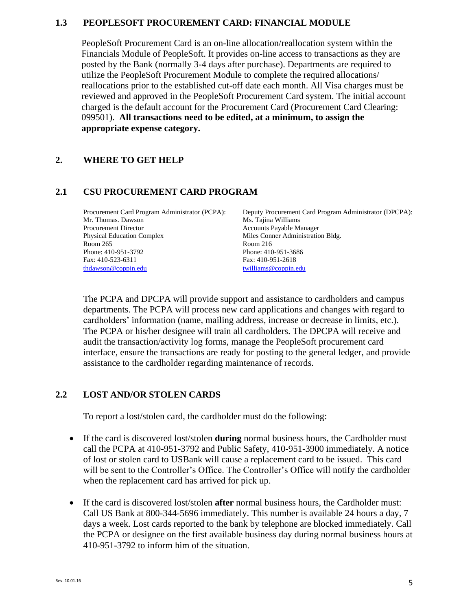#### **1.3 PEOPLESOFT PROCUREMENT CARD: FINANCIAL MODULE**

PeopleSoft Procurement Card is an on-line allocation/reallocation system within the Financials Module of PeopleSoft. It provides on-line access to transactions as they are posted by the Bank (normally 3-4 days after purchase). Departments are required to utilize the PeopleSoft Procurement Module to complete the required allocations/ reallocations prior to the established cut-off date each month. All Visa charges must be reviewed and approved in the PeopleSoft Procurement Card system. The initial account charged is the default account for the Procurement Card (Procurement Card Clearing: 099501). **All transactions need to be edited, at a minimum, to assign the appropriate expense category.** 

#### <span id="page-5-0"></span>**2. WHERE TO GET HELP**

#### <span id="page-5-1"></span>**2.1 CSU PROCUREMENT CARD PROGRAM**

| Procurement Card Program Administrator (PCPA): | Deputy Procurement Card Program Administrator (DPCPA): |
|------------------------------------------------|--------------------------------------------------------|
| Mr. Thomas. Dawson                             | Ms. Tajina Williams                                    |
| <b>Procurement Director</b>                    | <b>Accounts Payable Manager</b>                        |
| <b>Physical Education Complex</b>              | Miles Conner Administration Bldg.                      |
| Room 265                                       | Room $216$                                             |
| Phone: 410-951-3792                            | Phone: 410-951-3686                                    |
| Fax: 410-523-6311                              | Fax: 410-951-2618                                      |
| thdawson@coppin.edu                            | twilliams@coppin.edu                                   |

The PCPA and DPCPA will provide support and assistance to cardholders and campus departments. The PCPA will process new card applications and changes with regard to cardholders' information (name, mailing address, increase or decrease in limits, etc.). The PCPA or his/her designee will train all cardholders. The DPCPA will receive and audit the transaction/activity log forms, manage the PeopleSoft procurement card interface, ensure the transactions are ready for posting to the general ledger, and provide assistance to the cardholder regarding maintenance of records.

# <span id="page-5-2"></span>**2.2 LOST AND/OR STOLEN CARDS**

To report a lost/stolen card, the cardholder must do the following:

- If the card is discovered lost/stolen **during** normal business hours, the Cardholder must call the PCPA at 410-951-3792 and Public Safety, 410-951-3900 immediately. A notice of lost or stolen card to USBank will cause a replacement card to be issued. This card will be sent to the Controller's Office. The Controller's Office will notify the cardholder when the replacement card has arrived for pick up.
- If the card is discovered lost/stolen **after** normal business hours, the Cardholder must: Call US Bank at 800-344-5696 immediately. This number is available 24 hours a day, 7 days a week. Lost cards reported to the bank by telephone are blocked immediately. Call the PCPA or designee on the first available business day during normal business hours at 410-951-3792 to inform him of the situation.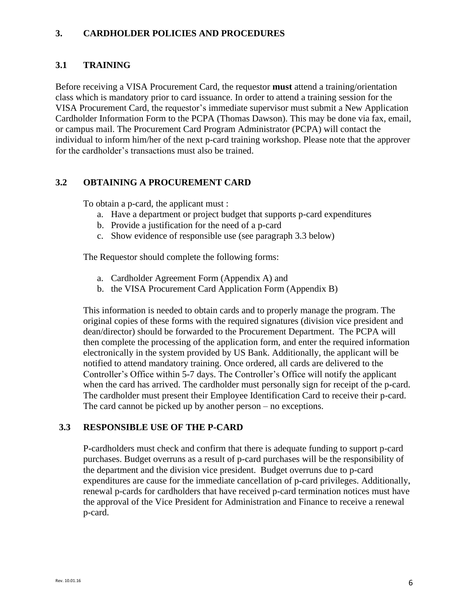#### <span id="page-6-0"></span>**3. CARDHOLDER POLICIES AND PROCEDURES**

# <span id="page-6-1"></span>**3.1 TRAINING**

Before receiving a VISA Procurement Card, the requestor **must** attend a training/orientation class which is mandatory prior to card issuance. In order to attend a training session for the VISA Procurement Card, the requestor's immediate supervisor must submit a New Application Cardholder Information Form to the PCPA (Thomas Dawson). This may be done via fax, email, or campus mail. The Procurement Card Program Administrator (PCPA) will contact the individual to inform him/her of the next p-card training workshop. Please note that the approver for the cardholder's transactions must also be trained.

#### <span id="page-6-2"></span>**3.2 OBTAINING A PROCUREMENT CARD**

To obtain a p-card, the applicant must :

- a. Have a department or project budget that supports p-card expenditures
- b. Provide a justification for the need of a p-card
- c. Show evidence of responsible use (see paragraph 3.3 below)

The Requestor should complete the following forms:

- a. Cardholder Agreement Form (Appendix A) and
- b. the VISA Procurement Card Application Form (Appendix B)

This information is needed to obtain cards and to properly manage the program. The original copies of these forms with the required signatures (division vice president and dean/director) should be forwarded to the Procurement Department. The PCPA will then complete the processing of the application form, and enter the required information electronically in the system provided by US Bank. Additionally, the applicant will be notified to attend mandatory training. Once ordered, all cards are delivered to the Controller's Office within 5-7 days. The Controller's Office will notify the applicant when the card has arrived. The cardholder must personally sign for receipt of the p-card. The cardholder must present their Employee Identification Card to receive their p-card. The card cannot be picked up by another person – no exceptions.

#### **3.3 RESPONSIBLE USE OF THE P-CARD**

<span id="page-6-3"></span>P-cardholders must check and confirm that there is adequate funding to support p-card purchases. Budget overruns as a result of p-card purchases will be the responsibility of the department and the division vice president. Budget overruns due to p-card expenditures are cause for the immediate cancellation of p-card privileges. Additionally, renewal p-cards for cardholders that have received p-card termination notices must have the approval of the Vice President for Administration and Finance to receive a renewal p-card.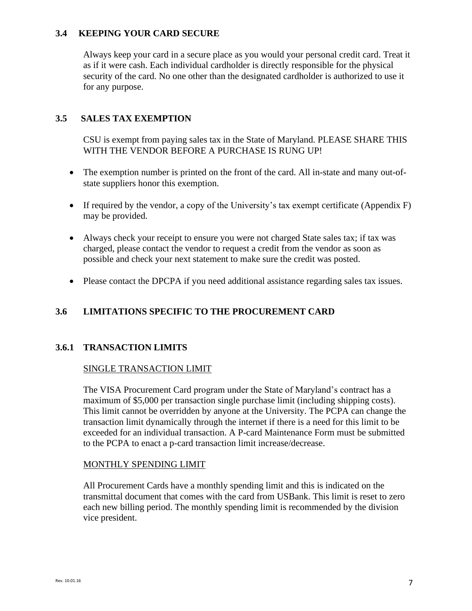#### **3.4 KEEPING YOUR CARD SECURE**

Always keep your card in a secure place as you would your personal credit card. Treat it as if it were cash. Each individual cardholder is directly responsible for the physical security of the card. No one other than the designated cardholder is authorized to use it for any purpose.

# <span id="page-7-0"></span>**3.5 SALES TAX EXEMPTION**

CSU is exempt from paying sales tax in the State of Maryland. PLEASE SHARE THIS WITH THE VENDOR BEFORE A PURCHASE IS RUNG UP!

- The exemption number is printed on the front of the card. All in-state and many out-ofstate suppliers honor this exemption.
- If required by the vendor, a copy of the University's tax exempt certificate (Appendix F) may be provided.
- Always check your receipt to ensure you were not charged State sales tax; if tax was charged, please contact the vendor to request a credit from the vendor as soon as possible and check your next statement to make sure the credit was posted.
- Please contact the DPCPA if you need additional assistance regarding sales tax issues.

# <span id="page-7-1"></span>**3.6 LIMITATIONS SPECIFIC TO THE PROCUREMENT CARD**

# <span id="page-7-2"></span>**3.6.1 TRANSACTION LIMITS**

#### SINGLE TRANSACTION LIMIT

The VISA Procurement Card program under the State of Maryland's contract has a maximum of \$5,000 per transaction single purchase limit (including shipping costs). This limit cannot be overridden by anyone at the University. The PCPA can change the transaction limit dynamically through the internet if there is a need for this limit to be exceeded for an individual transaction. A P-card Maintenance Form must be submitted to the PCPA to enact a p-card transaction limit increase/decrease.

#### MONTHLY SPENDING LIMIT

<span id="page-7-3"></span>All Procurement Cards have a monthly spending limit and this is indicated on the transmittal document that comes with the card from USBank. This limit is reset to zero each new billing period. The monthly spending limit is recommended by the division vice president.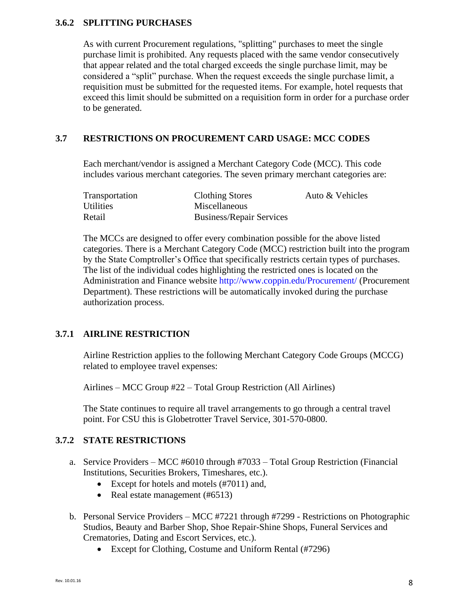#### **3.6.2 SPLITTING PURCHASES**

As with current Procurement regulations, "splitting" purchases to meet the single purchase limit is prohibited. Any requests placed with the same vendor consecutively that appear related and the total charged exceeds the single purchase limit, may be considered a "split" purchase. When the request exceeds the single purchase limit, a requisition must be submitted for the requested items. For example, hotel requests that exceed this limit should be submitted on a requisition form in order for a purchase order to be generated.

#### <span id="page-8-0"></span>**3.7 RESTRICTIONS ON PROCUREMENT CARD USAGE: MCC CODES**

Each merchant/vendor is assigned a Merchant Category Code (MCC). This code includes various merchant categories. The seven primary merchant categories are:

| Transportation   | <b>Clothing Stores</b>          | Auto & Vehicles |
|------------------|---------------------------------|-----------------|
| <b>Utilities</b> | Miscellaneous                   |                 |
| Retail           | <b>Business/Repair Services</b> |                 |

The MCCs are designed to offer every combination possible for the above listed categories. There is a Merchant Category Code (MCC) restriction built into the program by the State Comptroller's Office that specifically restricts certain types of purchases. The list of the individual codes highlighting the restricted ones is located on the Administration and Finance website http://www.coppin.edu/Procurement/ (Procurement Department). These restrictions will be automatically invoked during the purchase authorization process.

#### <span id="page-8-1"></span>**3.7.1 AIRLINE RESTRICTION**

Airline Restriction applies to the following Merchant Category Code Groups (MCCG) related to employee travel expenses:

Airlines – MCC Group #22 – Total Group Restriction (All Airlines)

The State continues to require all travel arrangements to go through a central travel point. For CSU this is Globetrotter Travel Service, 301-570-0800.

#### <span id="page-8-2"></span>**3.7.2 STATE RESTRICTIONS**

- a. Service Providers MCC #6010 through #7033 Total Group Restriction (Financial Institutions, Securities Brokers, Timeshares, etc.).
	- Except for hotels and motels (#7011) and,
	- Real estate management (#6513)
- b. Personal Service Providers MCC #7221 through #7299 Restrictions on Photographic Studios, Beauty and Barber Shop, Shoe Repair-Shine Shops, Funeral Services and Crematories, Dating and Escort Services, etc.).
	- Except for Clothing, Costume and Uniform Rental (#7296)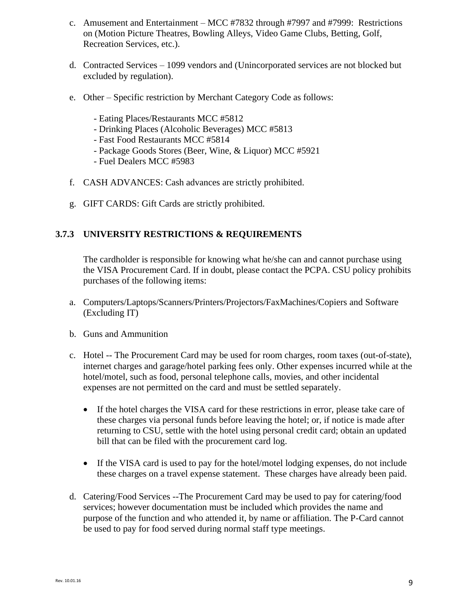- c. Amusement and Entertainment MCC #7832 through #7997 and #7999: Restrictions on (Motion Picture Theatres, Bowling Alleys, Video Game Clubs, Betting, Golf, Recreation Services, etc.).
- d. Contracted Services 1099 vendors and (Unincorporated services are not blocked but excluded by regulation).
- e. Other Specific restriction by Merchant Category Code as follows:
	- Eating Places/Restaurants MCC #5812
	- Drinking Places (Alcoholic Beverages) MCC #5813
	- Fast Food Restaurants MCC #5814
	- Package Goods Stores (Beer, Wine, & Liquor) MCC #5921
	- Fuel Dealers MCC #5983
- f. CASH ADVANCES: Cash advances are strictly prohibited.
- g. GIFT CARDS: Gift Cards are strictly prohibited.

#### <span id="page-9-0"></span>**3.7.3 UNIVERSITY RESTRICTIONS & REQUIREMENTS**

The cardholder is responsible for knowing what he/she can and cannot purchase using the VISA Procurement Card. If in doubt, please contact the PCPA. CSU policy prohibits purchases of the following items:

- a. Computers/Laptops/Scanners/Printers/Projectors/FaxMachines/Copiers and Software (Excluding IT)
- b. Guns and Ammunition
- c. Hotel -- The Procurement Card may be used for room charges, room taxes (out-of-state), internet charges and garage/hotel parking fees only. Other expenses incurred while at the hotel/motel, such as food, personal telephone calls, movies, and other incidental expenses are not permitted on the card and must be settled separately.
	- If the hotel charges the VISA card for these restrictions in error, please take care of these charges via personal funds before leaving the hotel; or, if notice is made after returning to CSU, settle with the hotel using personal credit card; obtain an updated bill that can be filed with the procurement card log.
	- If the VISA card is used to pay for the hotel/motel lodging expenses, do not include these charges on a travel expense statement. These charges have already been paid.
- <span id="page-9-1"></span>d. Catering/Food Services --The Procurement Card may be used to pay for catering/food services; however documentation must be included which provides the name and purpose of the function and who attended it, by name or affiliation. The P-Card cannot be used to pay for food served during normal staff type meetings.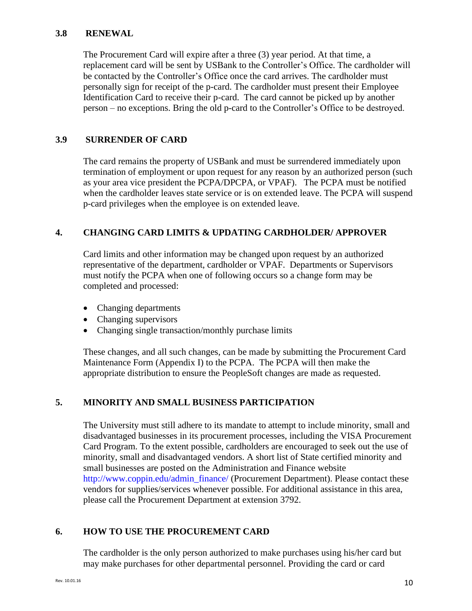#### **3.8 RENEWAL**

The Procurement Card will expire after a three (3) year period. At that time, a replacement card will be sent by USBank to the Controller's Office. The cardholder will be contacted by the Controller's Office once the card arrives. The cardholder must personally sign for receipt of the p-card. The cardholder must present their Employee Identification Card to receive their p-card. The card cannot be picked up by another person – no exceptions. Bring the old p-card to the Controller's Office to be destroyed.

#### **3.9 SURRENDER OF CARD**

The card remains the property of USBank and must be surrendered immediately upon termination of employment or upon request for any reason by an authorized person (such as your area vice president the PCPA/DPCPA, or VPAF). The PCPA must be notified when the cardholder leaves state service or is on extended leave. The PCPA will suspend p-card privileges when the employee is on extended leave.

#### <span id="page-10-0"></span>**4. CHANGING CARD LIMITS & UPDATING CARDHOLDER/ APPROVER**

Card limits and other information may be changed upon request by an authorized representative of the department, cardholder or VPAF. Departments or Supervisors must notify the PCPA when one of following occurs so a change form may be completed and processed:

- Changing departments
- Changing supervisors
- Changing single transaction/monthly purchase limits

These changes, and all such changes, can be made by submitting the Procurement Card Maintenance Form (Appendix I) to the PCPA. The PCPA will then make the appropriate distribution to ensure the PeopleSoft changes are made as requested.

#### <span id="page-10-1"></span>**5. MINORITY AND SMALL BUSINESS PARTICIPATION**

The University must still adhere to its mandate to attempt to include minority, small and disadvantaged businesses in its procurement processes, including the VISA Procurement Card Program. To the extent possible, cardholders are encouraged to seek out the use of minority, small and disadvantaged vendors. A short list of State certified minority and small businesses are posted on the Administration and Finance website [http://www.coppin.edu/admin\\_finance/](http://www.coppin.edu/admin_finance/) (Procurement Department). Please contact these vendors for supplies/services whenever possible. For additional assistance in this area, please call the Procurement Department at extension 3792.

#### <span id="page-10-2"></span>**6. HOW TO USE THE PROCUREMENT CARD**

The cardholder is the only person authorized to make purchases using his/her card but may make purchases for other departmental personnel. Providing the card or card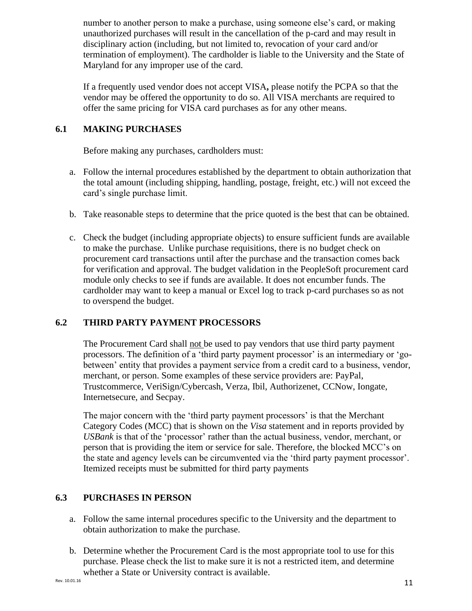number to another person to make a purchase, using someone else's card, or making unauthorized purchases will result in the cancellation of the p-card and may result in disciplinary action (including, but not limited to, revocation of your card and/or termination of employment). The cardholder is liable to the University and the State of Maryland for any improper use of the card.

If a frequently used vendor does not accept VISA**,** please notify the PCPA so that the vendor may be offered the opportunity to do so. All VISA merchants are required to offer the same pricing for VISA card purchases as for any other means.

# **6.1 MAKING PURCHASES**

Before making any purchases, cardholders must:

- a. Follow the internal procedures established by the department to obtain authorization that the total amount (including shipping, handling, postage, freight, etc.) will not exceed the card's single purchase limit.
- b. Take reasonable steps to determine that the price quoted is the best that can be obtained.
- c. Check the budget (including appropriate objects) to ensure sufficient funds are available to make the purchase. Unlike purchase requisitions, there is no budget check on procurement card transactions until after the purchase and the transaction comes back for verification and approval. The budget validation in the PeopleSoft procurement card module only checks to see if funds are available. It does not encumber funds. The cardholder may want to keep a manual or Excel log to track p-card purchases so as not to overspend the budget.

# **6.2 THIRD PARTY PAYMENT PROCESSORS**

The Procurement Card shall not be used to pay vendors that use third party payment processors. The definition of a 'third party payment processor' is an intermediary or 'gobetween' entity that provides a payment service from a credit card to a business, vendor, merchant, or person. Some examples of these service providers are: PayPal, Trustcommerce, VeriSign/Cybercash, Verza, Ibil, Authorizenet, CCNow, Iongate, Internetsecure, and Secpay.

The major concern with the 'third party payment processors' is that the Merchant Category Codes (MCC) that is shown on the *Visa* statement and in reports provided by *USBank* is that of the 'processor' rather than the actual business, vendor, merchant, or person that is providing the item or service for sale. Therefore, the blocked MCC's on the state and agency levels can be circumvented via the 'third party payment processor'. Itemized receipts must be submitted for third party payments

# <span id="page-11-0"></span>**6.3 PURCHASES IN PERSON**

- a. Follow the same internal procedures specific to the University and the department to obtain authorization to make the purchase.
- b. Determine whether the Procurement Card is the most appropriate tool to use for this purchase. Please check the list to make sure it is not a restricted item, and determine whether a State or University contract is available.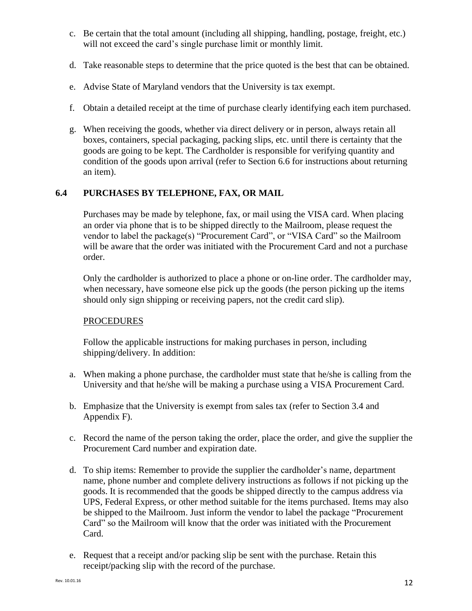- c. Be certain that the total amount (including all shipping, handling, postage, freight, etc.) will not exceed the card's single purchase limit or monthly limit.
- d. Take reasonable steps to determine that the price quoted is the best that can be obtained.
- e. Advise State of Maryland vendors that the University is tax exempt.
- f. Obtain a detailed receipt at the time of purchase clearly identifying each item purchased.
- g. When receiving the goods, whether via direct delivery or in person, always retain all boxes, containers, special packaging, packing slips, etc. until there is certainty that the goods are going to be kept. The Cardholder is responsible for verifying quantity and condition of the goods upon arrival (refer to Section 6.6 for instructions about returning an item).

# **6.4 PURCHASES BY TELEPHONE, FAX, OR MAIL**

Purchases may be made by telephone, fax, or mail using the VISA card. When placing an order via phone that is to be shipped directly to the Mailroom, please request the vendor to label the package(s) "Procurement Card", or "VISA Card" so the Mailroom will be aware that the order was initiated with the Procurement Card and not a purchase order.

Only the cardholder is authorized to place a phone or on-line order. The cardholder may, when necessary, have someone else pick up the goods (the person picking up the items should only sign shipping or receiving papers, not the credit card slip).

#### **PROCEDURES**

Follow the applicable instructions for making purchases in person, including shipping/delivery. In addition:

- a. When making a phone purchase, the cardholder must state that he/she is calling from the University and that he/she will be making a purchase using a VISA Procurement Card.
- b. Emphasize that the University is exempt from sales tax (refer to Section 3.4 and Appendix F).
- c. Record the name of the person taking the order, place the order, and give the supplier the Procurement Card number and expiration date.
- d. To ship items: Remember to provide the supplier the cardholder's name, department name, phone number and complete delivery instructions as follows if not picking up the goods. It is recommended that the goods be shipped directly to the campus address via UPS, Federal Express, or other method suitable for the items purchased. Items may also be shipped to the Mailroom. Just inform the vendor to label the package "Procurement Card" so the Mailroom will know that the order was initiated with the Procurement Card.
- e. Request that a receipt and/or packing slip be sent with the purchase. Retain this receipt/packing slip with the record of the purchase.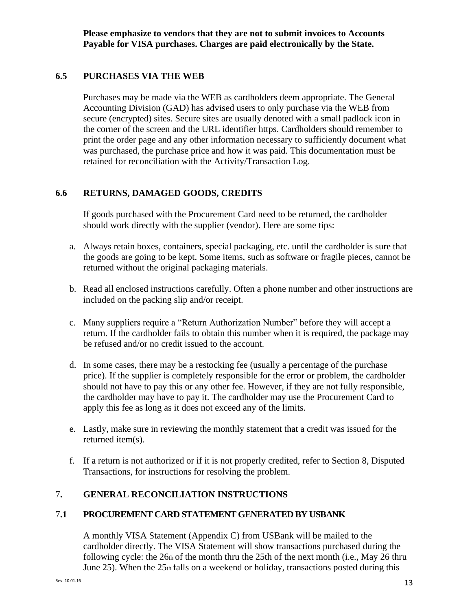**Please emphasize to vendors that they are not to submit invoices to Accounts Payable for VISA purchases. Charges are paid electronically by the State.**

# **6.5 PURCHASES VIA THE WEB**

Purchases may be made via the WEB as cardholders deem appropriate. The General Accounting Division (GAD) has advised users to only purchase via the WEB from secure (encrypted) sites. Secure sites are usually denoted with a small padlock icon in the corner of the screen and the URL identifier https. Cardholders should remember to print the order page and any other information necessary to sufficiently document what was purchased, the purchase price and how it was paid. This documentation must be retained for reconciliation with the Activity/Transaction Log.

# **6.6 RETURNS, DAMAGED GOODS, CREDITS**

If goods purchased with the Procurement Card need to be returned, the cardholder should work directly with the supplier (vendor). Here are some tips:

- a. Always retain boxes, containers, special packaging, etc. until the cardholder is sure that the goods are going to be kept. Some items, such as software or fragile pieces, cannot be returned without the original packaging materials.
- b. Read all enclosed instructions carefully. Often a phone number and other instructions are included on the packing slip and/or receipt.
- c. Many suppliers require a "Return Authorization Number" before they will accept a return. If the cardholder fails to obtain this number when it is required, the package may be refused and/or no credit issued to the account.
- d. In some cases, there may be a restocking fee (usually a percentage of the purchase price). If the supplier is completely responsible for the error or problem, the cardholder should not have to pay this or any other fee. However, if they are not fully responsible, the cardholder may have to pay it. The cardholder may use the Procurement Card to apply this fee as long as it does not exceed any of the limits.
- e. Lastly, make sure in reviewing the monthly statement that a credit was issued for the returned item(s).
- f. If a return is not authorized or if it is not properly credited, refer to Section 8, Disputed Transactions, for instructions for resolving the problem.

# <span id="page-13-0"></span>7**. GENERAL RECONCILIATION INSTRUCTIONS**

# <span id="page-13-1"></span>7**.1 PROCUREMENT CARD STATEMENT GENERATED BY USBANK**

A monthly VISA Statement (Appendix C) from USBank will be mailed to the cardholder directly. The VISA Statement will show transactions purchased during the following cycle: the  $26th$  of the month thru the  $25th$  of the next month (i.e., May  $26$  thru June 25). When the 25th falls on a weekend or holiday, transactions posted during this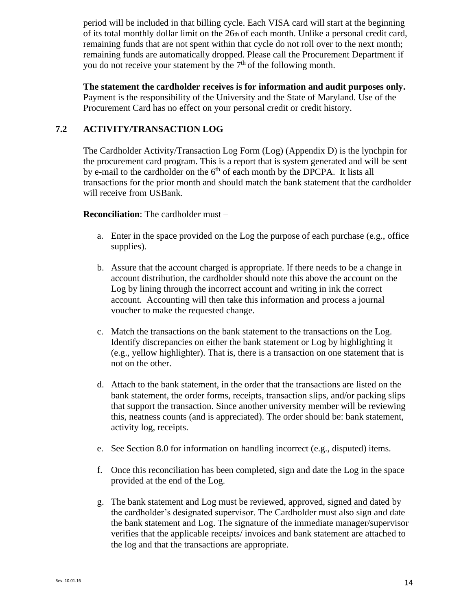period will be included in that billing cycle. Each VISA card will start at the beginning of its total monthly dollar limit on the 26th of each month. Unlike a personal credit card, remaining funds that are not spent within that cycle do not roll over to the next month; remaining funds are automatically dropped. Please call the Procurement Department if you do not receive your statement by the  $7<sup>th</sup>$  of the following month.

**The statement the cardholder receives is for information and audit purposes only.**  Payment is the responsibility of the University and the State of Maryland. Use of the Procurement Card has no effect on your personal credit or credit history.

# <span id="page-14-0"></span>**7.2 ACTIVITY/TRANSACTION LOG**

The Cardholder Activity/Transaction Log Form (Log) (Appendix D) is the lynchpin for the procurement card program. This is a report that is system generated and will be sent by e-mail to the cardholder on the  $6<sup>th</sup>$  of each month by the DPCPA. It lists all transactions for the prior month and should match the bank statement that the cardholder will receive from USBank.

#### **Reconciliation**: The cardholder must –

- a. Enter in the space provided on the Log the purpose of each purchase (e.g., office supplies).
- b. Assure that the account charged is appropriate. If there needs to be a change in account distribution, the cardholder should note this above the account on the Log by lining through the incorrect account and writing in ink the correct account. Accounting will then take this information and process a journal voucher to make the requested change.
- c. Match the transactions on the bank statement to the transactions on the Log. Identify discrepancies on either the bank statement or Log by highlighting it (e.g., yellow highlighter). That is, there is a transaction on one statement that is not on the other.
- d. Attach to the bank statement, in the order that the transactions are listed on the bank statement, the order forms, receipts, transaction slips, and/or packing slips that support the transaction. Since another university member will be reviewing this, neatness counts (and is appreciated). The order should be: bank statement, activity log, receipts.
- e. See Section 8.0 for information on handling incorrect (e.g., disputed) items.
- f. Once this reconciliation has been completed, sign and date the Log in the space provided at the end of the Log.
- g. The bank statement and Log must be reviewed, approved, signed and dated by the cardholder's designated supervisor. The Cardholder must also sign and date the bank statement and Log. The signature of the immediate manager/supervisor verifies that the applicable receipts/ invoices and bank statement are attached to the log and that the transactions are appropriate.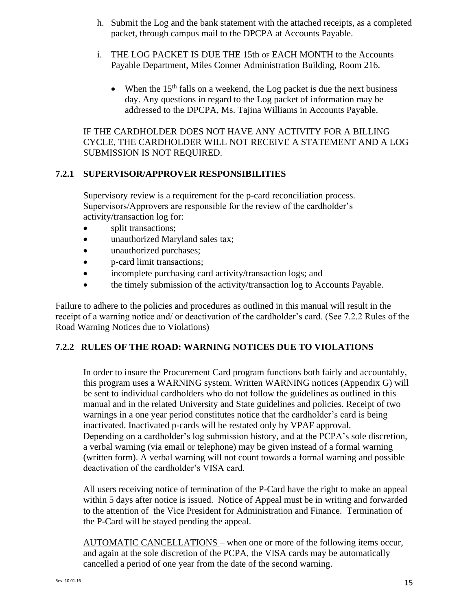- h. Submit the Log and the bank statement with the attached receipts, as a completed packet, through campus mail to the DPCPA at Accounts Payable.
- i. THE LOG PACKET IS DUE THE 15th OF EACH MONTH to the Accounts Payable Department, Miles Conner Administration Building, Room 216.
	- When the  $15<sup>th</sup>$  falls on a weekend, the Log packet is due the next business day. Any questions in regard to the Log packet of information may be addressed to the DPCPA, Ms. Tajina Williams in Accounts Payable.

IF THE CARDHOLDER DOES NOT HAVE ANY ACTIVITY FOR A BILLING CYCLE, THE CARDHOLDER WILL NOT RECEIVE A STATEMENT AND A LOG SUBMISSION IS NOT REQUIRED.

# <span id="page-15-0"></span>**7.2.1 SUPERVISOR/APPROVER RESPONSIBILITIES**

Supervisory review is a requirement for the p-card reconciliation process. Supervisors/Approvers are responsible for the review of the cardholder's activity/transaction log for:

- split transactions;
- unauthorized Maryland sales tax;
- unauthorized purchases;
- p-card limit transactions;
- incomplete purchasing card activity/transaction logs; and
- the timely submission of the activity/transaction log to Accounts Payable.

Failure to adhere to the policies and procedures as outlined in this manual will result in the receipt of a warning notice and/ or deactivation of the cardholder's card. (See 7.2.2 Rules of the Road Warning Notices due to Violations)

# **7.2.2 RULES OF THE ROAD: WARNING NOTICES DUE TO VIOLATIONS**

In order to insure the Procurement Card program functions both fairly and accountably, this program uses a WARNING system. Written WARNING notices (Appendix G) will be sent to individual cardholders who do not follow the guidelines as outlined in this manual and in the related University and State guidelines and policies. Receipt of two warnings in a one year period constitutes notice that the cardholder's card is being inactivated. Inactivated p-cards will be restated only by VPAF approval. Depending on a cardholder's log submission history, and at the PCPA's sole discretion, a verbal warning (via email or telephone) may be given instead of a formal warning (written form). A verbal warning will not count towards a formal warning and possible deactivation of the cardholder's VISA card.

All users receiving notice of termination of the P-Card have the right to make an appeal within 5 days after notice is issued. Notice of Appeal must be in writing and forwarded to the attention of the Vice President for Administration and Finance. Termination of the P-Card will be stayed pending the appeal.

AUTOMATIC CANCELLATIONS – when one or more of the following items occur, and again at the sole discretion of the PCPA, the VISA cards may be automatically cancelled a period of one year from the date of the second warning.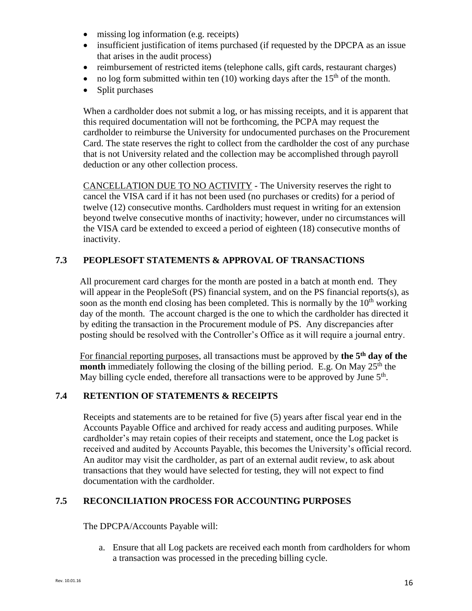- missing log information (e.g. receipts)
- insufficient justification of items purchased (if requested by the DPCPA as an issue that arises in the audit process)
- reimbursement of restricted items (telephone calls, gift cards, restaurant charges)
- no log form submitted within ten (10) working days after the  $15<sup>th</sup>$  of the month.
- Split purchases

When a cardholder does not submit a log, or has missing receipts, and it is apparent that this required documentation will not be forthcoming, the PCPA may request the cardholder to reimburse the University for undocumented purchases on the Procurement Card. The state reserves the right to collect from the cardholder the cost of any purchase that is not University related and the collection may be accomplished through payroll deduction or any other collection process.

CANCELLATION DUE TO NO ACTIVITY - The University reserves the right to cancel the VISA card if it has not been used (no purchases or credits) for a period of twelve (12) consecutive months. Cardholders must request in writing for an extension beyond twelve consecutive months of inactivity; however, under no circumstances will the VISA card be extended to exceed a period of eighteen (18) consecutive months of inactivity.

# **7.3 PEOPLESOFT STATEMENTS & APPROVAL OF TRANSACTIONS**

All procurement card charges for the month are posted in a batch at month end. They will appear in the PeopleSoft (PS) financial system, and on the PS financial reports(s), as soon as the month end closing has been completed. This is normally by the  $10<sup>th</sup>$  working day of the month. The account charged is the one to which the cardholder has directed it by editing the transaction in the Procurement module of PS. Any discrepancies after posting should be resolved with the Controller's Office as it will require a journal entry.

For financial reporting purposes, all transactions must be approved by **the 5th day of the month** immediately following the closing of the billing period. E.g. On May 25<sup>th</sup> the May billing cycle ended, therefore all transactions were to be approved by June 5<sup>th</sup>.

# <span id="page-16-0"></span>**7.4 RETENTION OF STATEMENTS & RECEIPTS**

Receipts and statements are to be retained for five (5) years after fiscal year end in the Accounts Payable Office and archived for ready access and auditing purposes. While cardholder's may retain copies of their receipts and statement, once the Log packet is received and audited by Accounts Payable, this becomes the University's official record. An auditor may visit the cardholder, as part of an external audit review, to ask about transactions that they would have selected for testing, they will not expect to find documentation with the cardholder.

# <span id="page-16-1"></span>**7.5 RECONCILIATION PROCESS FOR ACCOUNTING PURPOSES**

The DPCPA/Accounts Payable will:

a. Ensure that all Log packets are received each month from cardholders for whom a transaction was processed in the preceding billing cycle.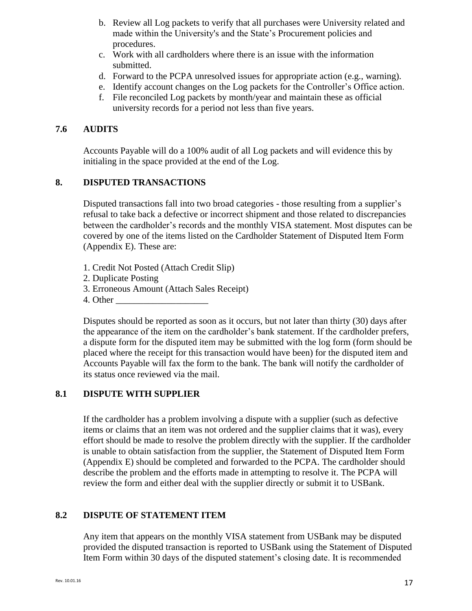- b. Review all Log packets to verify that all purchases were University related and made within the University's and the State's Procurement policies and procedures.
- c. Work with all cardholders where there is an issue with the information submitted.
- d. Forward to the PCPA unresolved issues for appropriate action (e.g., warning).
- e. Identify account changes on the Log packets for the Controller's Office action.
- f. File reconciled Log packets by month/year and maintain these as official university records for a period not less than five years.

#### <span id="page-17-0"></span>**7.6 AUDITS**

Accounts Payable will do a 100% audit of all Log packets and will evidence this by initialing in the space provided at the end of the Log.

#### <span id="page-17-1"></span>**8. DISPUTED TRANSACTIONS**

Disputed transactions fall into two broad categories - those resulting from a supplier's refusal to take back a defective or incorrect shipment and those related to discrepancies between the cardholder's records and the monthly VISA statement. Most disputes can be covered by one of the items listed on the Cardholder Statement of Disputed Item Form (Appendix E). These are:

- 1. Credit Not Posted (Attach Credit Slip)
- 2. Duplicate Posting
- 3. Erroneous Amount (Attach Sales Receipt)
- 4. Other

Disputes should be reported as soon as it occurs, but not later than thirty (30) days after the appearance of the item on the cardholder's bank statement. If the cardholder prefers, a dispute form for the disputed item may be submitted with the log form (form should be placed where the receipt for this transaction would have been) for the disputed item and Accounts Payable will fax the form to the bank. The bank will notify the cardholder of its status once reviewed via the mail.

#### <span id="page-17-2"></span>**8.1 DISPUTE WITH SUPPLIER**

If the cardholder has a problem involving a dispute with a supplier (such as defective items or claims that an item was not ordered and the supplier claims that it was), every effort should be made to resolve the problem directly with the supplier. If the cardholder is unable to obtain satisfaction from the supplier, the Statement of Disputed Item Form (Appendix E) should be completed and forwarded to the PCPA. The cardholder should describe the problem and the efforts made in attempting to resolve it. The PCPA will review the form and either deal with the supplier directly or submit it to USBank.

#### <span id="page-17-3"></span>**8.2 DISPUTE OF STATEMENT ITEM**

Any item that appears on the monthly VISA statement from USBank may be disputed provided the disputed transaction is reported to USBank using the Statement of Disputed Item Form within 30 days of the disputed statement's closing date. It is recommended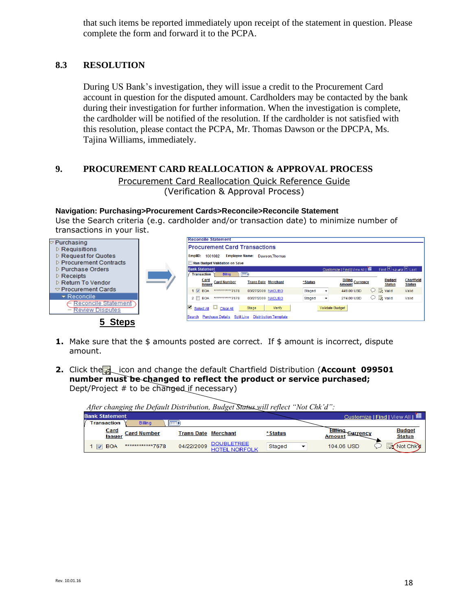that such items be reported immediately upon receipt of the statement in question. Please complete the form and forward it to the PCPA.

#### <span id="page-18-0"></span>**8.3 RESOLUTION**

During US Bank's investigation, they will issue a credit to the Procurement Card account in question for the disputed amount. Cardholders may be contacted by the bank during their investigation for further information. When the investigation is complete, the cardholder will be notified of the resolution. If the cardholder is not satisfied with this resolution, please contact the PCPA, Mr. Thomas Dawson or the DPCPA, Ms. Tajina Williams, immediately.

#### <span id="page-18-1"></span>**9. PROCUREMENT CARD REALLOCATION & APPROVAL PROCESS**

Procurement Card Reallocation [Quick Reference Guide](http://www.aug.edu/businessservices/Pcardoverview.html)  (Verification & Approval Process)

**Navigation: Purchasing>Procurement Cards>Reconcile>Reconcile Statement**  Use the Search criteria (e.g. cardholder and/or transaction date) to minimize number of transactions in your list.

| $\triangledown$ Purchasing                           | <b>Reconcile Statement</b>                            |                                                          |                 |                                   |                                   |                                    |
|------------------------------------------------------|-------------------------------------------------------|----------------------------------------------------------|-----------------|-----------------------------------|-----------------------------------|------------------------------------|
| $\triangleright$ Requisitions                        | <b>Procurement Card Transactions</b>                  |                                                          |                 |                                   |                                   |                                    |
| $\triangleright$ Request for Quotes                  | 1001082<br>EmpliD:                                    | <b>Employee Name:</b> Dawson. Thomas                     |                 |                                   |                                   |                                    |
| $\triangleright$ Procurement Contracts               | <b>Run Budget Validation on Save</b>                  |                                                          |                 |                                   |                                   |                                    |
| D Purchase Orders                                    | <b>Bank Statement</b>                                 |                                                          |                 | Customize   Find   View All   THE | First $\Box$ 1-2 of 2 $\Box$ Last |                                    |
| $\triangleright$ Receipts                            | <b>Transaction</b><br><b>Billing</b>                  | (FEED)                                                   |                 |                                   |                                   |                                    |
| Return To Vendor                                     | Card<br><b>Card Number</b><br><b>Issuer</b>           | <b>Trans Date Merchant</b>                               | *Status         | <b>Billing Currency</b>           | <b>Budget</b><br><b>Status</b>    | <b>Chartfield</b><br><b>Status</b> |
| $\triangledown$ Procurement Cards                    | $1$ $\triangledown$<br>************7678<br><b>BOA</b> | 03/27/2009 NACUBO                                        | Staged<br>۰     | 449.00 USD                        | $\heartsuit$ $\mathbb{R}$ Valid   | Valid                              |
| $\blacktriangledown$ Reconcile                       | ************7678<br>$2 \Box$ BOA                      | 03/27/2009 NACUBO                                        | Staged          | 274.00 USD                        | $\bigcirc$ $\frac{1}{2}$ Valid    | Valid                              |
| <b>Reconcile Statement</b><br><b>Review Disputes</b> | M<br>Select All Clear All                             | Verify<br>Stage                                          | Validate Budget |                                   |                                   |                                    |
| <b>Steps</b>                                         | Search                                                | <b>Purchase Details Split Line Distribution Template</b> |                 |                                   |                                   |                                    |

- **1.** Make sure that the \$ amounts posted are correct. If \$ amount is incorrect, dispute amount.
- **2.** Click the icon and change the default Chartfield Distribution (Account 099501 **number must be changed to reflect the product or service purchased;** Dept/Project # to be changed if necessary)

|                              |                    |                            | After changing the Default Distribution, Budget Status will reflect TNOt Chk a |         |        |            |                                   |
|------------------------------|--------------------|----------------------------|--------------------------------------------------------------------------------|---------|--------|------------|-----------------------------------|
| <b>Bank Statement</b>        |                    |                            |                                                                                |         |        |            | Customize   Find   View All   THE |
| <b>Transaction</b>           | <b>Billing</b>     | <b>IF THE R</b>            |                                                                                |         |        |            |                                   |
| <u>Card</u><br><b>Issuer</b> | <b>Card Number</b> | <b>Trans Date Merchant</b> |                                                                                | *Status | Amount | Gurrency   | <b>Budget</b><br><b>Status</b>    |
| 1 <b>V</b> BOA               | ************7678   | 04/22/2009                 | <b>DOUBLETREE</b><br><b>HOTEL NORFOLK</b>                                      | Staged  |        | 104.06 USD | <b>Not Chky</b>                   |

*After changing the Default Distribution, Budget Status will reflect "Not Chk'd":*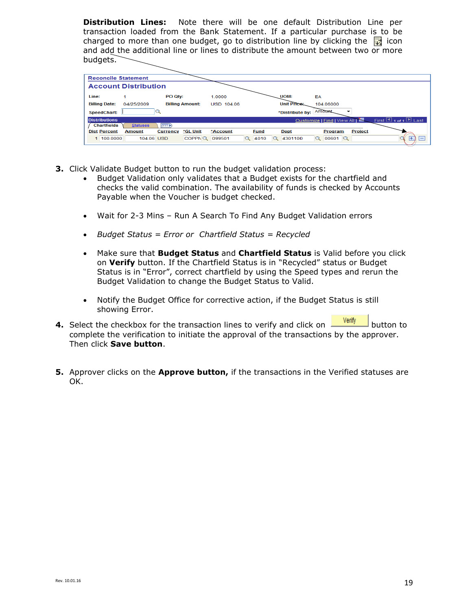**Distribution Lines:** Note there will be one default Distribution Line per transaction loaded from the Bank Statement. If a particular purchase is to be charged to more than one budget, go to distribution line by clicking the  $\frac{1}{\sqrt{2}}$  icon and add the additional line or lines to distribute the amount between two or more budgets.

|       |                             | <b>Reconcile Statement</b> |                 |                        |                   |                  |                    |                                       |                                 |
|-------|-----------------------------|----------------------------|-----------------|------------------------|-------------------|------------------|--------------------|---------------------------------------|---------------------------------|
|       | <b>Account Distribution</b> |                            |                 |                        |                   |                  |                    |                                       |                                 |
| Line: |                             |                            | PO Qty:         |                        | 1.0000            |                  | UOM:               | EA                                    |                                 |
|       | <b>Billing Date:</b>        | 04/25/2009                 |                 | <b>Billing Amount:</b> | <b>USD 104.06</b> |                  | <b>Unit Price:</b> | 104.06000                             |                                 |
|       | SpeedChart:                 |                            |                 |                        |                   |                  | *Distribute by:    | Amount<br>▼                           |                                 |
|       | <b>Distributions</b>        |                            |                 |                        |                   |                  |                    | Customize   Find   View All   <a></a> | First $\Box$ 1 of 1 $\Box$ Last |
|       | <b>Chartfields</b>          | <b>Statuses</b>            | <b>EED</b>      |                        |                   |                  |                    |                                       |                                 |
|       | <b>Dist Percent</b>         | <b>Amount</b>              | <b>Currency</b> | *GL Unit               | *Account          | <b>Fund</b>      | <b>Dept</b>        | <b>Project</b><br>Program             |                                 |
|       | 1 100,0000                  | 104.06 USD                 |                 | COPPNQ                 | 099501            | 4010<br>$\alpha$ | 4301100            | 00601<br>$\alpha$                     | H.,<br>$\overline{\phantom{0}}$ |

- **3.** Click Validate Budget button to run the budget validation process:
	- Budget Validation only validates that a Budget exists for the chartfield and checks the valid combination. The availability of funds is checked by Accounts Payable when the Voucher is budget checked.
	- Wait for 2-3 Mins Run A Search To Find Any Budget Validation errors
	- *Budget Status = Error or Chartfield Status = Recycled*
	- Make sure that **Budget Status** and **Chartfield Status** is Valid before you click on **Verify** button. If the Chartfield Status is in "Recycled" status or Budget Status is in "Error", correct chartfield by using the Speed types and rerun the Budget Validation to change the Budget Status to Valid.
	- Notify the Budget Office for corrective action, if the Budget Status is still showing Error.
- **4.** Select the checkbox for the transaction lines to verify and click on **we have the set of the set of the set of** complete the verification to initiate the approval of the transactions by the approver. Then click **Save button**.
- **5.** Approver clicks on the **Approve button,** if the transactions in the Verified statuses are OK.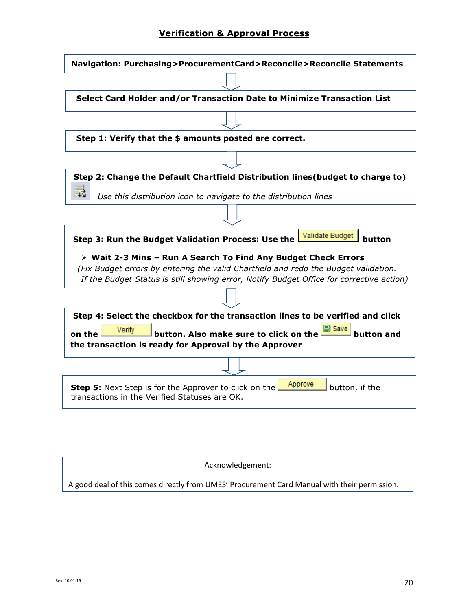# **Verification & Approval Process**



| Acknowledgement:                                                                             |
|----------------------------------------------------------------------------------------------|
| A good deal of this comes directly from UMES' Procurement Card Manual with their permission. |
|                                                                                              |